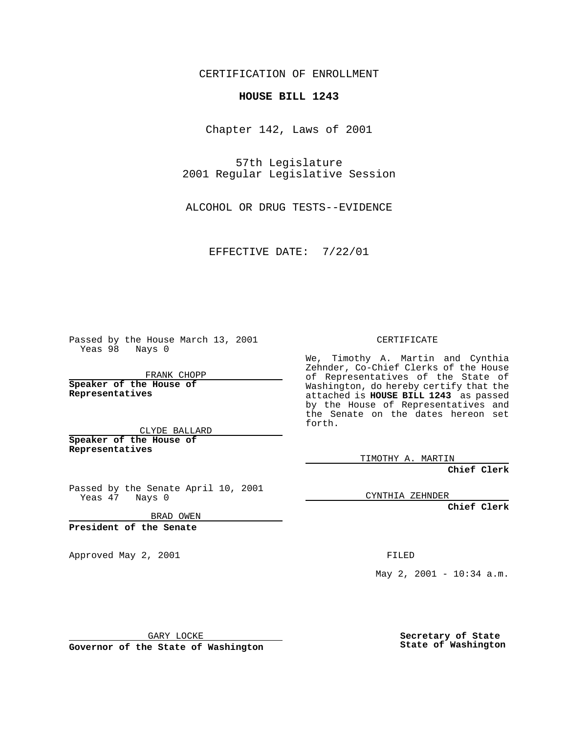CERTIFICATION OF ENROLLMENT

## **HOUSE BILL 1243**

Chapter 142, Laws of 2001

57th Legislature 2001 Regular Legislative Session

ALCOHOL OR DRUG TESTS--EVIDENCE

EFFECTIVE DATE: 7/22/01

Passed by the House March 13, 2001 Yeas 98 Nays 0

FRANK CHOPP

**Speaker of the House of Representatives**

CLYDE BALLARD **Speaker of the House of**

**Representatives**

Passed by the Senate April 10, 2001 Yeas 47 Nays 0

BRAD OWEN

**President of the Senate**

Approved May 2, 2001 and the contract of the FILED

CERTIFICATE

We, Timothy A. Martin and Cynthia Zehnder, Co-Chief Clerks of the House of Representatives of the State of Washington, do hereby certify that the attached is **HOUSE BILL 1243** as passed by the House of Representatives and the Senate on the dates hereon set forth.

TIMOTHY A. MARTIN

**Chief Clerk**

CYNTHIA ZEHNDER

**Chief Clerk**

May 2, 2001 - 10:34 a.m.

GARY LOCKE

**Governor of the State of Washington**

**Secretary of State State of Washington**